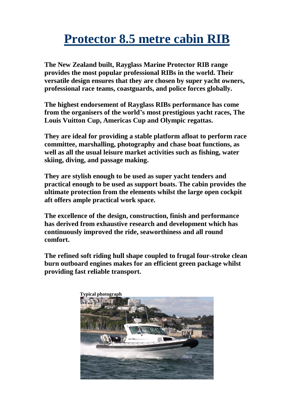## **Protector 8.5 metre cabin RIB**

**The New Zealand built, Rayglass Marine Protector RIB range provides the most popular professional RIBs in the world. Their versatile design ensures that they are chosen by super yacht owners, professional race teams, coastguards, and police forces globally.** 

**The highest endorsement of Rayglass RIBs performance has come from the organisers of the world's most prestigious yacht races, The Louis Vuitton Cup, Americas Cup and Olympic regattas.**

**They are ideal for providing a stable platform afloat to perform race committee, marshalling, photography and chase boat functions, as well as all the usual leisure market activities such as fishing, water skiing, diving, and passage making.**

**They are stylish enough to be used as super yacht tenders and practical enough to be used as support boats. The cabin provides the ultimate protection from the elements whilst the large open cockpit aft offers ample practical work space.**

**The excellence of the design, construction, finish and performance has derived from exhaustive research and development which has continuously improved the ride, seaworthiness and all round comfort.**

**The refined soft riding hull shape coupled to frugal four-stroke clean burn outboard engines makes for an efficient green package whilst providing fast reliable transport.**